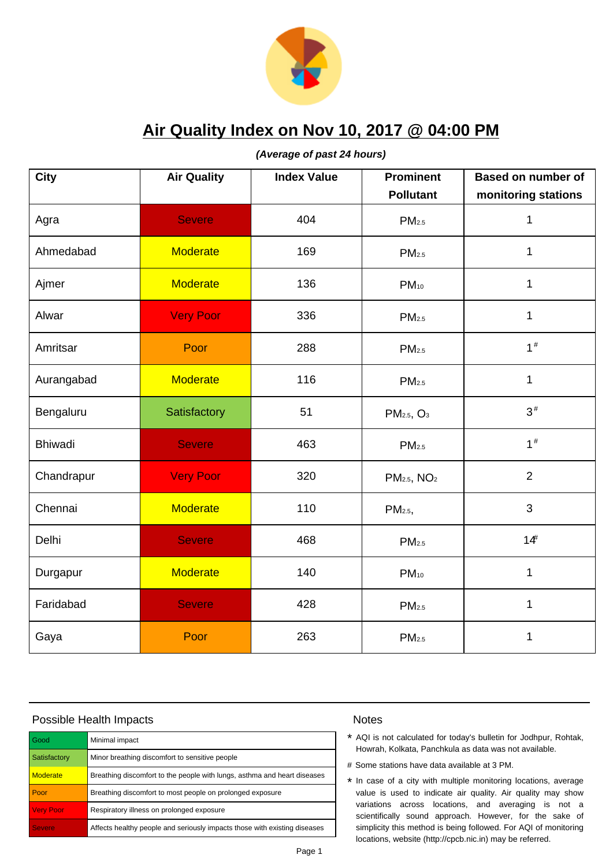

**(Average of past 24 hours)**

| <b>City</b>    | <b>Air Quality</b> | <b>Index Value</b> | <b>Prominent</b><br><b>Pollutant</b> | <b>Based on number of</b> |
|----------------|--------------------|--------------------|--------------------------------------|---------------------------|
|                |                    |                    |                                      | monitoring stations       |
| Agra           | <b>Severe</b>      | 404                | PM <sub>2.5</sub>                    | 1                         |
| Ahmedabad      | <b>Moderate</b>    | 169                | PM <sub>2.5</sub>                    | $\mathbf 1$               |
| Ajmer          | <b>Moderate</b>    | 136                | $PM_{10}$                            | $\mathbf{1}$              |
| Alwar          | <b>Very Poor</b>   | 336                | PM <sub>2.5</sub>                    | $\mathbf{1}$              |
| Amritsar       | Poor               | 288                | PM <sub>2.5</sub>                    | $1\#$                     |
| Aurangabad     | <b>Moderate</b>    | 116                | PM <sub>2.5</sub>                    | 1                         |
| Bengaluru      | Satisfactory       | 51                 | PM <sub>2.5</sub> , O <sub>3</sub>   | $3\#$                     |
| <b>Bhiwadi</b> | <b>Severe</b>      | 463                | PM <sub>2.5</sub>                    | $1\#$                     |
| Chandrapur     | <b>Very Poor</b>   | 320                | PM <sub>2.5</sub> , NO <sub>2</sub>  | $\overline{2}$            |
| Chennai        | <b>Moderate</b>    | 110                | PM <sub>2.5</sub> ,                  | 3                         |
| Delhi          | <b>Severe</b>      | 468                | PM <sub>2.5</sub>                    | 14 <sup>#</sup>           |
| Durgapur       | <b>Moderate</b>    | 140                | $PM_{10}$                            | 1                         |
| Faridabad      | <b>Severe</b>      | 428                | PM <sub>2.5</sub>                    | 1                         |
| Gaya           | Poor               | 263                | PM <sub>2.5</sub>                    | 1                         |

### Possible Health Impacts

| l Good           | Minimal impact                                                            |
|------------------|---------------------------------------------------------------------------|
| Satisfactory     | Minor breathing discomfort to sensitive people                            |
| <b>Moderate</b>  | Breathing discomfort to the people with lungs, asthma and heart diseases  |
| Poor             | Breathing discomfort to most people on prolonged exposure                 |
| <b>Very Poor</b> | Respiratory illness on prolonged exposure                                 |
| <b>Severe</b>    | Affects healthy people and seriously impacts those with existing diseases |

- \* AQI is not calculated for today's bulletin for Jodhpur, Rohtak, Howrah, Kolkata, Panchkula as data was not available.
- # Some stations have data available at 3 PM.
- \* In case of a city with multiple monitoring locations, average value is used to indicate air quality. Air quality may show variations across locations, and averaging is not a scientifically sound approach. However, for the sake of simplicity this method is being followed. For AQI of monitoring locations, website (http://cpcb.nic.in) may be referred.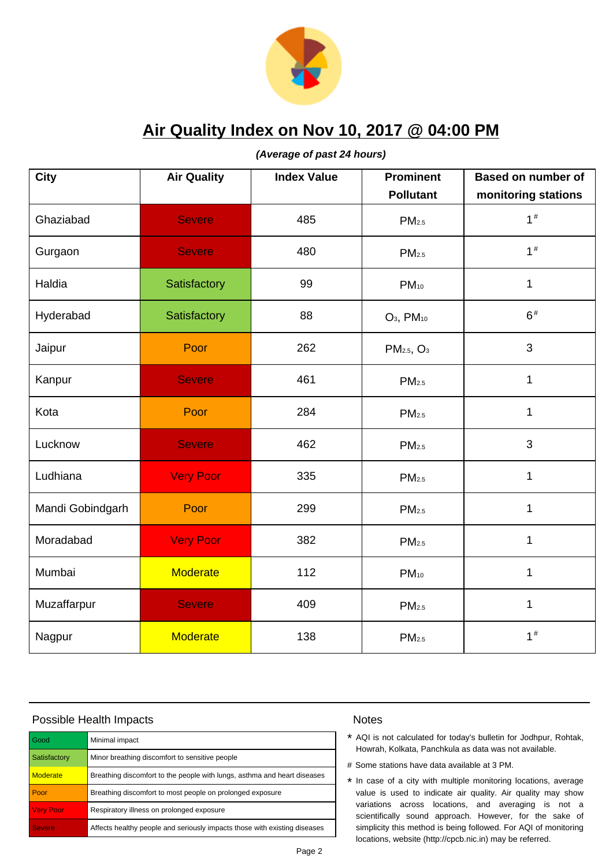

**(Average of past 24 hours)**

| <b>City</b>      | <b>Air Quality</b> | <b>Index Value</b> | <b>Prominent</b><br><b>Pollutant</b> | <b>Based on number of</b><br>monitoring stations |
|------------------|--------------------|--------------------|--------------------------------------|--------------------------------------------------|
| Ghaziabad        | <b>Severe</b>      | 485                | PM <sub>2.5</sub>                    | 1 <sup>#</sup>                                   |
| Gurgaon          | <b>Severe</b>      | 480                | PM <sub>2.5</sub>                    | 1 <sup>#</sup>                                   |
| Haldia           | Satisfactory       | 99                 | $PM_{10}$                            | 1                                                |
| Hyderabad        | Satisfactory       | 88                 | $O_3$ , $PM_{10}$                    | $6\#$                                            |
| Jaipur           | Poor               | 262                | PM <sub>2.5</sub> , O <sub>3</sub>   | 3                                                |
| Kanpur           | <b>Severe</b>      | 461                | PM <sub>2.5</sub>                    | $\mathbf{1}$                                     |
| Kota             | Poor               | 284                | PM <sub>2.5</sub>                    | 1                                                |
| Lucknow          | <b>Severe</b>      | 462                | PM <sub>2.5</sub>                    | 3                                                |
| Ludhiana         | <b>Very Poor</b>   | 335                | PM <sub>2.5</sub>                    | $\mathbf{1}$                                     |
| Mandi Gobindgarh | Poor               | 299                | PM <sub>2.5</sub>                    | $\mathbf 1$                                      |
| Moradabad        | <b>Very Poor</b>   | 382                | PM <sub>2.5</sub>                    | $\mathbf 1$                                      |
| Mumbai           | <b>Moderate</b>    | 112                | $PM_{10}$                            | $\mathbf 1$                                      |
| Muzaffarpur      | <b>Severe</b>      | 409                | PM <sub>2.5</sub>                    | 1                                                |
| Nagpur           | <b>Moderate</b>    | 138                | PM <sub>2.5</sub>                    | 1 <sup>#</sup>                                   |

### Possible Health Impacts

| l Good           | Minimal impact                                                            |
|------------------|---------------------------------------------------------------------------|
| Satisfactory     | Minor breathing discomfort to sensitive people                            |
| <b>Moderate</b>  | Breathing discomfort to the people with lungs, asthma and heart diseases  |
| Poor             | Breathing discomfort to most people on prolonged exposure                 |
| <b>Very Poor</b> | Respiratory illness on prolonged exposure                                 |
| <b>Severe</b>    | Affects healthy people and seriously impacts those with existing diseases |

- \* AQI is not calculated for today's bulletin for Jodhpur, Rohtak, Howrah, Kolkata, Panchkula as data was not available.
- # Some stations have data available at 3 PM.
- \* In case of a city with multiple monitoring locations, average value is used to indicate air quality. Air quality may show variations across locations, and averaging is not a scientifically sound approach. However, for the sake of simplicity this method is being followed. For AQI of monitoring locations, website (http://cpcb.nic.in) may be referred.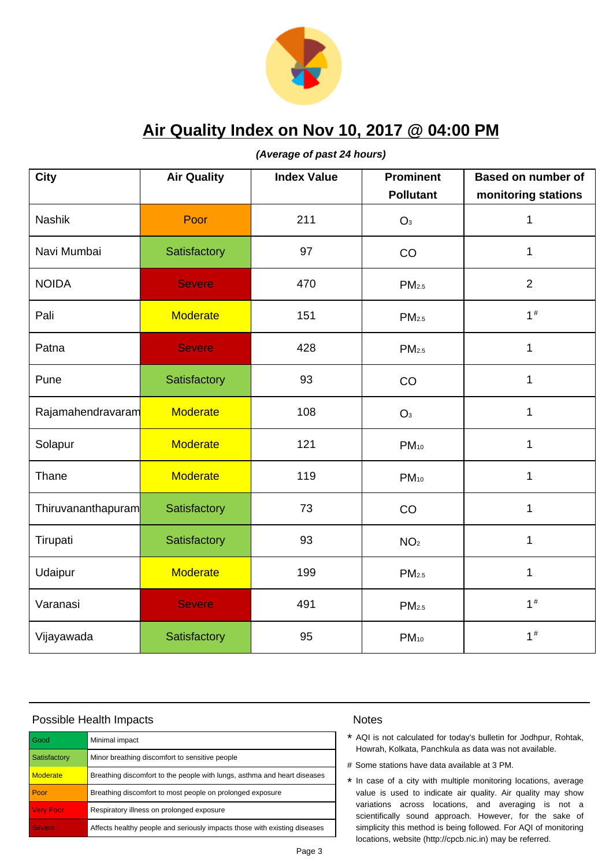

**(Average of past 24 hours)**

| <b>City</b>        | <b>Air Quality</b> | <b>Index Value</b> | <b>Prominent</b><br><b>Pollutant</b> | <b>Based on number of</b><br>monitoring stations |
|--------------------|--------------------|--------------------|--------------------------------------|--------------------------------------------------|
| <b>Nashik</b>      | Poor               | 211                | O <sub>3</sub>                       | 1                                                |
| Navi Mumbai        | Satisfactory       | 97                 | CO                                   | $\mathbf{1}$                                     |
| <b>NOIDA</b>       | <b>Severe</b>      | 470                | PM <sub>2.5</sub>                    | $\overline{2}$                                   |
| Pali               | <b>Moderate</b>    | 151                | PM <sub>2.5</sub>                    | $1\#$                                            |
| Patna              | <b>Severe</b>      | 428                | PM <sub>2.5</sub>                    | 1                                                |
| Pune               | Satisfactory       | 93                 | CO                                   | 1                                                |
| Rajamahendravaram  | <b>Moderate</b>    | 108                | O <sub>3</sub>                       | 1                                                |
| Solapur            | <b>Moderate</b>    | 121                | $PM_{10}$                            | 1                                                |
| Thane              | <b>Moderate</b>    | 119                | $PM_{10}$                            | $\mathbf 1$                                      |
| Thiruvananthapuram | Satisfactory       | 73                 | CO                                   | $\mathbf 1$                                      |
| Tirupati           | Satisfactory       | 93                 | NO <sub>2</sub>                      | $\mathbf{1}$                                     |
| Udaipur            | <b>Moderate</b>    | 199                | PM <sub>2.5</sub>                    | 1                                                |
| Varanasi           | <b>Severe</b>      | 491                | PM <sub>2.5</sub>                    | $1\#$                                            |
| Vijayawada         | Satisfactory       | 95                 | PM <sub>10</sub>                     | 1 <sup>#</sup>                                   |

# Possible Health Impacts

| l Good           | Minimal impact                                                            |
|------------------|---------------------------------------------------------------------------|
| Satisfactory     | Minor breathing discomfort to sensitive people                            |
| <b>Moderate</b>  | Breathing discomfort to the people with lungs, asthma and heart diseases  |
| Poor             | Breathing discomfort to most people on prolonged exposure                 |
| <b>Very Poor</b> | Respiratory illness on prolonged exposure                                 |
| <b>Severe</b>    | Affects healthy people and seriously impacts those with existing diseases |

- \* AQI is not calculated for today's bulletin for Jodhpur, Rohtak, Howrah, Kolkata, Panchkula as data was not available.
- # Some stations have data available at 3 PM.
- \* In case of a city with multiple monitoring locations, average value is used to indicate air quality. Air quality may show variations across locations, and averaging is not a scientifically sound approach. However, for the sake of simplicity this method is being followed. For AQI of monitoring locations, website (http://cpcb.nic.in) may be referred.